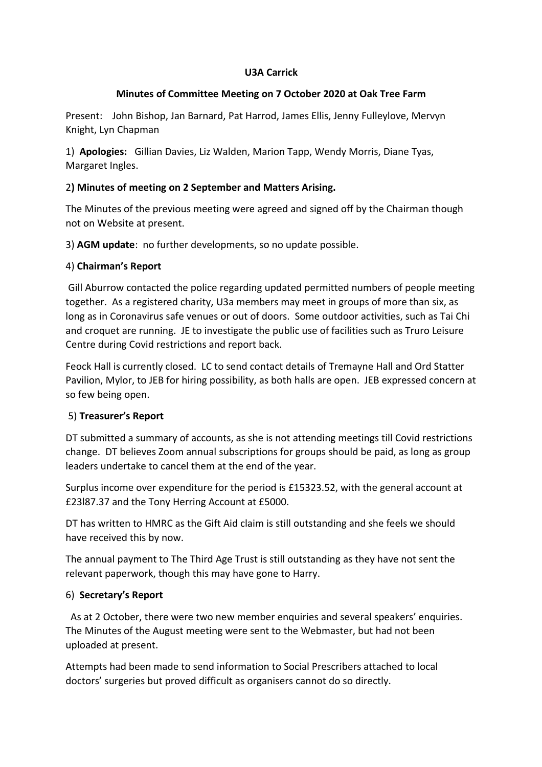# **U3A Carrick**

## **Minutes of Committee Meeting on 7 October 2020 at Oak Tree Farm**

Present: John Bishop, Jan Barnard, Pat Harrod, James Ellis, Jenny Fulleylove, Mervyn Knight, Lyn Chapman

1) **Apologies:** Gillian Davies, Liz Walden, Marion Tapp, Wendy Morris, Diane Tyas, Margaret Ingles.

# 2**) Minutes of meeting on 2 September and Matters Arising.**

The Minutes of the previous meeting were agreed and signed off by the Chairman though not on Website at present.

3) **AGM update**: no further developments, so no update possible.

### 4) **Chairman's Report**

 Gill Aburrow contacted the police regarding updated permitted numbers of people meeting together. As a registered charity, U3a members may meet in groups of more than six, as long as in Coronavirus safe venues or out of doors. Some outdoor activities, such as Tai Chi and croquet are running. JE to investigate the public use of facilities such as Truro Leisure Centre during Covid restrictions and report back.

Feock Hall is currently closed. LC to send contact details of Tremayne Hall and Ord Statter Pavilion, Mylor, to JEB for hiring possibility, as both halls are open. JEB expressed concern at so few being open.

# 5) **Treasurer's Report**

DT submitted a summary of accounts, as she is not attending meetings till Covid restrictions change. DT believes Zoom annual subscriptions for groups should be paid, as long as group leaders undertake to cancel them at the end of the year.

Surplus income over expenditure for the period is £15323.52, with the general account at £23l87.37 and the Tony Herring Account at £5000.

DT has written to HMRC as the Gift Aid claim is still outstanding and she feels we should have received this by now.

The annual payment to The Third Age Trust is still outstanding as they have not sent the relevant paperwork, though this may have gone to Harry.

#### 6) **Secretary's Report**

 As at 2 October, there were two new member enquiries and several speakers' enquiries. The Minutes of the August meeting were sent to the Webmaster, but had not been uploaded at present.

Attempts had been made to send information to Social Prescribers attached to local doctors' surgeries but proved difficult as organisers cannot do so directly.